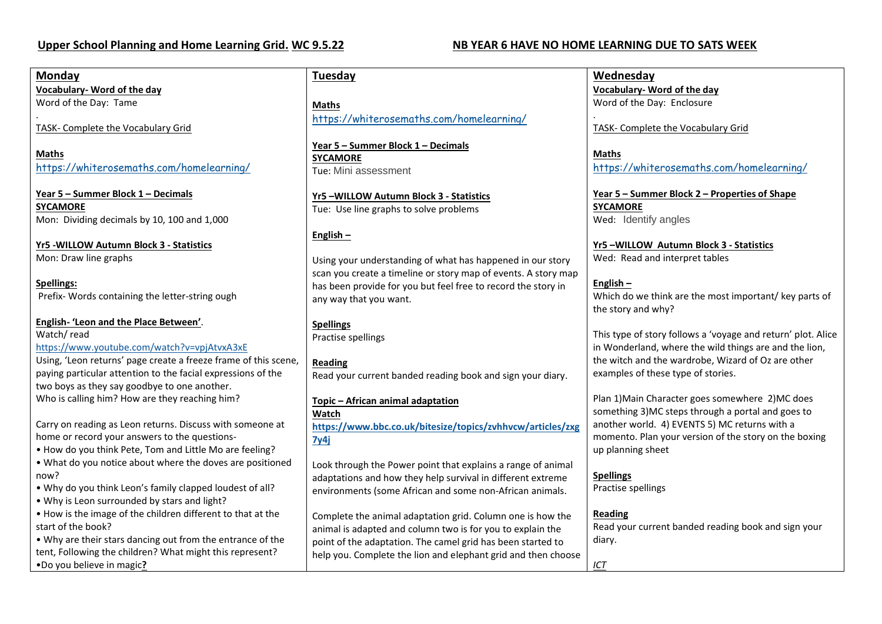### **Monday**

**Vocabulary- Word of the day** Word of the Day: Tame

. TASK- Complete the Vocabulary Grid

**Maths** <https://whiterosemaths.com/homelearning/>

**Year 5 – Summer Block 1 – Decimals SYCAMORE** Mon: Dividing decimals by 10, 100 and 1,000

**Yr5 -WILLOW Autumn Block 3 - Statistics** Mon: Draw line graphs

**Spellings:** Prefix- Words containing the letter-string ough

**English- 'Leon and the Place Between'**. Watch/ read <https://www.youtube.com/watch?v=vpjAtvxA3xE> Using, 'Leon returns' page create a freeze frame of this scene, paying particular attention to the facial expressions of the two boys as they say goodbye to one another. Who is calling him? How are they reaching him?

Carry on reading as Leon returns. Discuss with someone at home or record your answers to the questions-

• How do you think Pete, Tom and Little Mo are feeling?

• What do you notice about where the doves are positioned now?

- Why do you think Leon's family clapped loudest of all?
- Why is Leon surrounded by stars and light?

• How is the image of the children different to that at the start of the book?

• Why are their stars dancing out from the entrance of the tent, Following the children? What might this represent? •Do you believe in magic**?**

**Tuesday**

**Maths** <https://whiterosemaths.com/homelearning/>

**Year 5 – Summer Block 1 – Decimals SYCAMORE** Tue: Mini assessment

**Yr5 –WILLOW Autumn Block 3 - Statistics** Tue: Use line graphs to solve problems

## **English –**

Using your understanding of what has happened in our story scan you create a timeline or story map of events. A story map has been provide for you but feel free to record the story in any way that you want.

### **Spellings**

Practise spellings

**Reading** Read your current banded reading book and sign your diary.

**Topic – African animal adaptation Watch [https://www.bbc.co.uk/bitesize/topics/zvhhvcw/articles/zxg](https://www.bbc.co.uk/bitesize/topics/zvhhvcw/articles/zxg7y4j) [7y4j](https://www.bbc.co.uk/bitesize/topics/zvhhvcw/articles/zxg7y4j)**

Look through the Power point that explains a range of animal adaptations and how they help survival in different extreme environments (some African and some non-African animals.

Complete the animal adaptation grid. Column one is how the animal is adapted and column two is for you to explain the point of the adaptation. The camel grid has been started to help you. Complete the lion and elephant grid and then choose **Wednesday Vocabulary- Word of the day** Word of the Day: Enclosure

. TASK- Complete the Vocabulary Grid

**Maths** <https://whiterosemaths.com/homelearning/>

**Year 5 – Summer Block 2 – Properties of Shape SYCAMORE** Wed: Identify angles

**Yr5 –WILLOW Autumn Block 3 - Statistics** Wed: Read and interpret tables

### **English –**

Which do we think are the most important/ key parts of the story and why?

This type of story follows a 'voyage and return' plot. Alice in Wonderland, where the wild things are and the lion, the witch and the wardrobe, Wizard of Oz are other examples of these type of stories.

Plan 1)Main Character goes somewhere 2)MC does something 3)MC steps through a portal and goes to another world. 4) EVENTS 5) MC returns with a momento. Plan your version of the story on the boxing up planning sheet

### **Spellings**

Practise spellings

### **Reading**

Read your current banded reading book and sign your diary.

*ICT*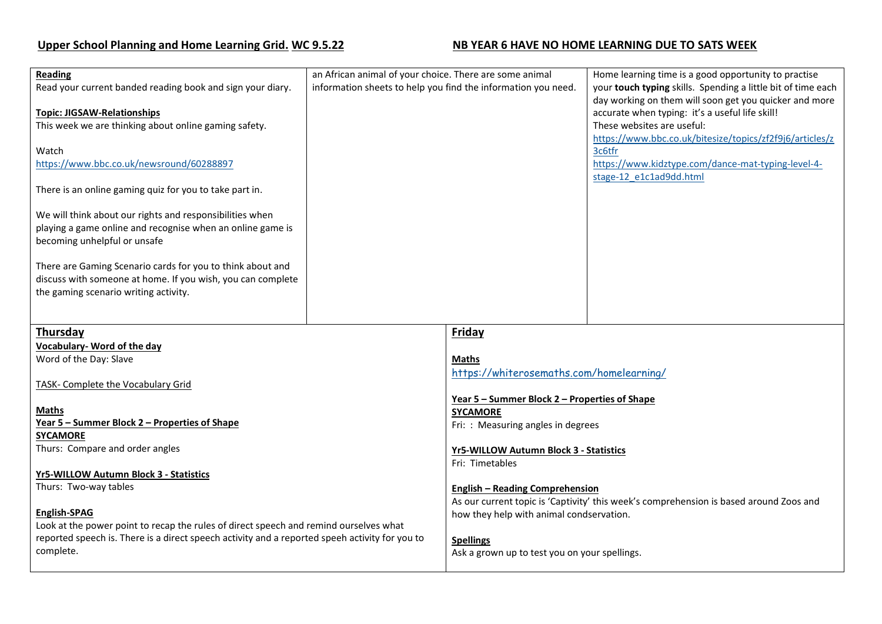# **Upper School Planning and Home Learning Grid.** WC 9.5.22 **NB YEAR 6 HAVE NO HOME LEARNING DUE TO SATS WEEK**

| <b>Reading</b><br>Read your current banded reading book and sign your diary.<br><b>Topic: JIGSAW-Relationships</b><br>This week we are thinking about online gaming safety.<br>Watch<br>https://www.bbc.co.uk/newsround/60288897<br>There is an online gaming quiz for you to take part in.<br>We will think about our rights and responsibilities when<br>playing a game online and recognise when an online game is<br>becoming unhelpful or unsafe<br>There are Gaming Scenario cards for you to think about and<br>discuss with someone at home. If you wish, you can complete<br>the gaming scenario writing activity. | an African animal of your choice. There are some animal<br>information sheets to help you find the information you need. |                                                                                                                                                                                                                                                        | Home learning time is a good opportunity to practise<br>your touch typing skills. Spending a little bit of time each<br>day working on them will soon get you quicker and more<br>accurate when typing: it's a useful life skill!<br>These websites are useful:<br>https://www.bbc.co.uk/bitesize/topics/zf2f9j6/articles/z<br>3c6tfr<br>https://www.kidztype.com/dance-mat-typing-level-4-<br>stage-12 e1c1ad9dd.html |
|-----------------------------------------------------------------------------------------------------------------------------------------------------------------------------------------------------------------------------------------------------------------------------------------------------------------------------------------------------------------------------------------------------------------------------------------------------------------------------------------------------------------------------------------------------------------------------------------------------------------------------|--------------------------------------------------------------------------------------------------------------------------|--------------------------------------------------------------------------------------------------------------------------------------------------------------------------------------------------------------------------------------------------------|------------------------------------------------------------------------------------------------------------------------------------------------------------------------------------------------------------------------------------------------------------------------------------------------------------------------------------------------------------------------------------------------------------------------|
| <b>Thursday</b><br><b>Vocabulary- Word of the day</b>                                                                                                                                                                                                                                                                                                                                                                                                                                                                                                                                                                       |                                                                                                                          | <b>Friday</b>                                                                                                                                                                                                                                          |                                                                                                                                                                                                                                                                                                                                                                                                                        |
| Word of the Day: Slave<br>TASK- Complete the Vocabulary Grid                                                                                                                                                                                                                                                                                                                                                                                                                                                                                                                                                                |                                                                                                                          | Maths<br>https://whiterosemaths.com/homelearning/<br>Year 5 - Summer Block 2 - Properties of Shape                                                                                                                                                     |                                                                                                                                                                                                                                                                                                                                                                                                                        |
| <b>Maths</b><br>Year 5 - Summer Block 2 - Properties of Shape<br><b>SYCAMORE</b><br>Thurs: Compare and order angles<br><b>Yr5-WILLOW Autumn Block 3 - Statistics</b><br>Thurs: Two-way tables<br>English-SPAG<br>Look at the power point to recap the rules of direct speech and remind ourselves what<br>reported speech is. There is a direct speech activity and a reported speeh activity for you to<br>complete.                                                                                                                                                                                                       |                                                                                                                          | <b>SYCAMORE</b><br>Fri: : Measuring angles in degrees<br>Yr5-WILLOW Autumn Block 3 - Statistics<br>Fri: Timetables<br><b>English - Reading Comprehension</b><br>As our current topic is 'Captivity' this week's comprehension is based around Zoos and |                                                                                                                                                                                                                                                                                                                                                                                                                        |
|                                                                                                                                                                                                                                                                                                                                                                                                                                                                                                                                                                                                                             |                                                                                                                          |                                                                                                                                                                                                                                                        |                                                                                                                                                                                                                                                                                                                                                                                                                        |